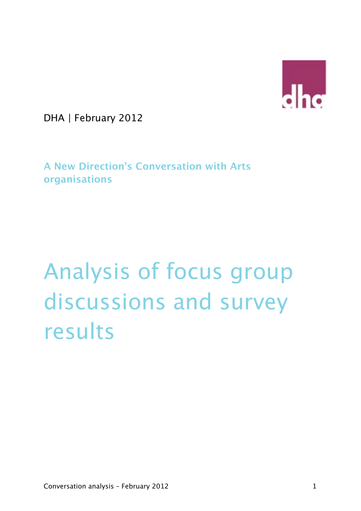

DHA | February 2012

**A New Direction's Conversation with Arts organisations** 

# Analysis of focus group discussions and survey results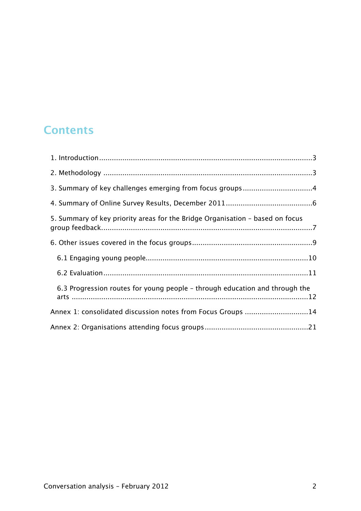# **Contents**

| 5. Summary of key priority areas for the Bridge Organisation - based on focus |
|-------------------------------------------------------------------------------|
|                                                                               |
|                                                                               |
|                                                                               |
| 6.3 Progression routes for young people - through education and through the   |
| Annex 1: consolidated discussion notes from Focus Groups 14                   |
|                                                                               |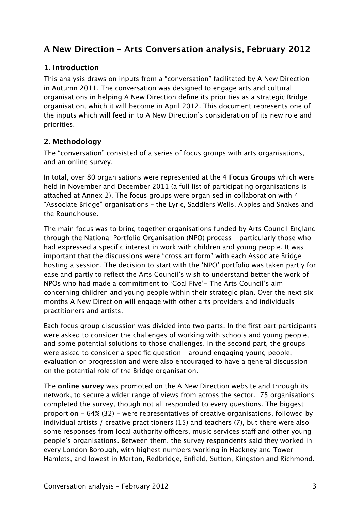# **A New Direction – Arts Conversation analysis, February 2012**

# <span id="page-2-0"></span>**1. Introduction**

This analysis draws on inputs from a "conversation" facilitated by A New Direction in Autumn 2011. The conversation was designed to engage arts and cultural organisations in helping A New Direction define its priorities as a strategic Bridge organisation, which it will become in April 2012. This document represents one of the inputs which will feed in to A New Direction's consideration of its new role and priorities.

# <span id="page-2-1"></span>**2. Methodology**

The "conversation" consisted of a series of focus groups with arts organisations, and an online survey.

In total, over 80 organisations were represented at the 4 **Focus Groups** which were held in November and December 2011 (a full list of participating organisations is attached at Annex 2). The focus groups were organised in collaboration with 4 "Associate Bridge" organisations – the Lyric, Saddlers Wells, Apples and Snakes and the Roundhouse.

The main focus was to bring together organisations funded by Arts Council England through the National Portfolio Organisation (NPO) process – particularly those who had expressed a specific interest in work with children and young people. It was important that the discussions were "cross art form" with each Associate Bridge hosting a session. The decision to start with the 'NPO' portfolio was taken partly for ease and partly to reflect the Arts Council's wish to understand better the work of NPOs who had made a commitment to 'Goal Five'- The Arts Council's aim concerning children and young people within their strategic plan. Over the next six months A New Direction will engage with other arts providers and individuals practitioners and artists.

Each focus group discussion was divided into two parts. In the first part participants were asked to consider the challenges of working with schools and young people, and some potential solutions to those challenges. In the second part, the groups were asked to consider a specific question – around engaging young people, evaluation or progression and were also encouraged to have a general discussion on the potential role of the Bridge organisation.

The **online survey** was promoted on the A New Direction website and through its network, to secure a wider range of views from across the sector. 75 organisations completed the survey, though not all responded to every questions. The biggest proportion - 64% (32) - were representatives of creative organisations, followed by individual artists / creative practitioners (15) and teachers (7), but there were also some responses from local authority officers, music services staff and other young people's organisations. Between them, the survey respondents said they worked in every London Borough, with highest numbers working in Hackney and Tower Hamlets, and lowest in Merton, Redbridge, Enfield, Sutton, Kingston and Richmond.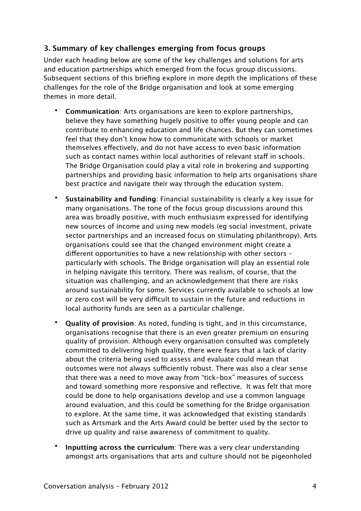# <span id="page-3-0"></span>**3. Summary of key challenges emerging from focus groups**

Under each heading below are some of the key challenges and solutions for arts and education partnerships which emerged from the focus group discussions. Subsequent sections of this briefing explore in more depth the implications of these challenges for the role of the Bridge organisation and look at some emerging themes in more detail.

- **Communication**: Arts organisations are keen to explore partnerships, believe they have something hugely positive to offer young people and can contribute to enhancing education and life chances. But they can sometimes feel that they don't know how to communicate with schools or market themselves efectively, and do not have access to even basic information such as contact names within local authorities of relevant staff in schools. The Bridge Organisation could play a vital role in brokering and supporting partnerships and providing basic information to help arts organisations share best practice and navigate their way through the education system.
- **Sustainability and funding**: Financial sustainability is clearly a key issue for many organisations. The tone of the focus group discussions around this area was broadly positive, with much enthusiasm expressed for identifying new sources of income and using new models (eg social investment, private sector partnerships and an increased focus on stimulating philanthropy). Arts organisations could see that the changed environment might create a diferent opportunities to have a new relationship with other sectors – particularly with schools. The Bridge organisation will play an essential role in helping navigate this territory. There was realism, of course, that the situation was challenging, and an acknowledgement that there are risks around sustainability for some. Services currently available to schools at low or zero cost will be very difficult to sustain in the future and reductions in local authority funds are seen as a particular challenge.
- **Quality of provision**: As noted, funding is tight, and in this circumstance, organisations recognise that there is an even greater premium on ensuring quality of provision. Although every organisation consulted was completely committed to delivering high quality, there were fears that a lack of clarity about the criteria being used to assess and evaluate could mean that outcomes were not always sufficiently robust. There was also a clear sense that there was a need to move away from "tick-box" measures of success and toward something more responsive and reflective. It was felt that more could be done to help organisations develop and use a common language around evaluation, and this could be something for the Bridge organisation to explore. At the same time, it was acknowledged that existing standards such as Artsmark and the Arts Award could be better used by the sector to drive up quality and raise awareness of commitment to quality.
- **Inputting across the curriculum**: There was a very clear understanding amongst arts organisations that arts and culture should not be pigeonholed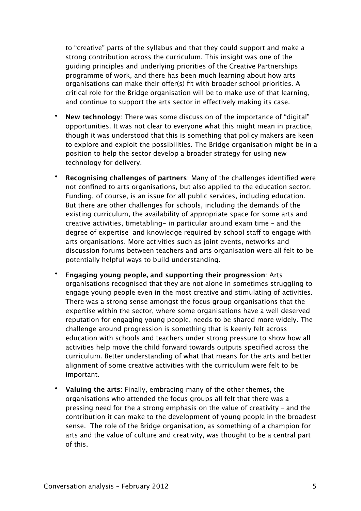to "creative" parts of the syllabus and that they could support and make a strong contribution across the curriculum. This insight was one of the guiding principles and underlying priorities of the Creative Partnerships programme of work, and there has been much learning about how arts organisations can make their offer(s) fit with broader school priorities. A critical role for the Bridge organisation will be to make use of that learning, and continue to support the arts sector in efectively making its case.

- **New technology**: There was some discussion of the importance of "digital" opportunities. It was not clear to everyone what this might mean in practice, though it was understood that this is something that policy makers are keen to explore and exploit the possibilities. The Bridge organisation might be in a position to help the sector develop a broader strategy for using new technology for delivery.
- **Recognising challenges of partners**: Many of the challenges identified were not confined to arts organisations, but also applied to the education sector. Funding, of course, is an issue for all public services, including education. But there are other challenges for schools, including the demands of the existing curriculum, the availability of appropriate space for some arts and creative activities, timetabling- in particular around exam time – and the degree of expertise and knowledge required by school staff to engage with arts organisations. More activities such as joint events, networks and discussion forums between teachers and arts organisation were all felt to be potentially helpful ways to build understanding.
- **Engaging young people, and supporting their progression**: Arts organisations recognised that they are not alone in sometimes struggling to engage young people even in the most creative and stimulating of activities. There was a strong sense amongst the focus group organisations that the expertise within the sector, where some organisations have a well deserved reputation for engaging young people, needs to be shared more widely. The challenge around progression is something that is keenly felt across education with schools and teachers under strong pressure to show how all activities help move the child forward towards outputs specified across the curriculum. Better understanding of what that means for the arts and better alignment of some creative activities with the curriculum were felt to be important.
- **Valuing the arts**: Finally, embracing many of the other themes, the organisations who attended the focus groups all felt that there was a pressing need for the a strong emphasis on the value of creativity – and the contribution it can make to the development of young people in the broadest sense. The role of the Bridge organisation, as something of a champion for arts and the value of culture and creativity, was thought to be a central part of this.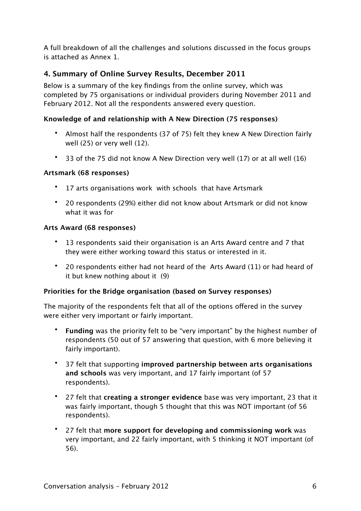A full breakdown of all the challenges and solutions discussed in the focus groups is attached as Annex 1.

# <span id="page-5-0"></span>**4. Summary of Online Survey Results, December 2011**

Below is a summary of the key findings from the online survey, which was completed by 75 organisations or individual providers during November 2011 and February 2012. Not all the respondents answered every question.

# **Knowledge of and relationship with A New Direction (75 responses)**

- Almost half the respondents (37 of 75) felt they knew A New Direction fairly well (25) or very well (12).
- 33 of the 75 did not know A New Direction very well (17) or at all well (16)

#### **Artsmark (68 responses)**

- 17 arts organisations work with schools that have Artsmark
- 20 respondents (29%) either did not know about Artsmark or did not know what it was for

#### **Arts Award (68 responses)**

- 13 respondents said their organisation is an Arts Award centre and 7 that they were either working toward this status or interested in it.
- 20 respondents either had not heard of the Arts Award (11) or had heard of it but knew nothing about it (9)

#### **Priorities for the Bridge organisation (based on Survey responses)**

The majority of the respondents felt that all of the options offered in the survey were either very important or fairly important.

- **Funding** was the priority felt to be "very important" by the highest number of respondents (50 out of 57 answering that question, with 6 more believing it fairly important).
- 37 felt that supporting **improved partnership between arts organisations and schools** was very important, and 17 fairly important (of 57 respondents).
- 27 felt that **creating a stronger evidence** base was very important, 23 that it was fairly important, though 5 thought that this was NOT important (of 56 respondents).
- 27 felt that **more support for developing and commissioning work** was very important, and 22 fairly important, with 5 thinking it NOT important (of 56).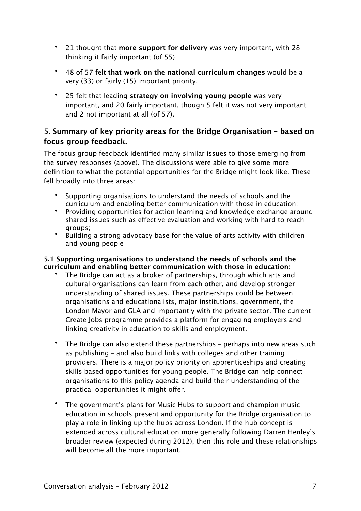- 21 thought that **more support for delivery** was very important, with 28 thinking it fairly important (of 55)
- 48 of 57 felt **that work on the national curriculum changes** would be a very (33) or fairly (15) important priority.
- 25 felt that leading **strategy on involving young people** was very important, and 20 fairly important, though 5 felt it was not very important and 2 not important at all (of 57).

# <span id="page-6-0"></span>**5. Summary of key priority areas for the Bridge Organisation – based on focus group feedback.**

The focus group feedback identified many similar issues to those emerging from the survey responses (above). The discussions were able to give some more definition to what the potential opportunities for the Bridge might look like. These fell broadly into three areas:

- Supporting organisations to understand the needs of schools and the curriculum and enabling better communication with those in education;
- Providing opportunities for action learning and knowledge exchange around shared issues such as efective evaluation and working with hard to reach groups;
- Building a strong advocacy base for the value of arts activity with children and young people

#### **5.1 Supporting organisations to understand the needs of schools and the curriculum and enabling better communication with those in education:**

- The Bridge can act as a broker of partnerships, through which arts and cultural organisations can learn from each other, and develop stronger understanding of shared issues. These partnerships could be between organisations and educationalists, major institutions, government, the London Mayor and GLA and importantly with the private sector. The current Create Jobs programme provides a platform for engaging employers and linking creativity in education to skills and employment.
- The Bridge can also extend these partnerships perhaps into new areas such as publishing – and also build links with colleges and other training providers. There is a major policy priority on apprenticeships and creating skills based opportunities for young people. The Bridge can help connect organisations to this policy agenda and build their understanding of the practical opportunities it might offer.
- The government's plans for Music Hubs to support and champion music education in schools present and opportunity for the Bridge organisation to play a role in linking up the hubs across London. If the hub concept is extended across cultural education more generally following Darren Henley's broader review (expected during 2012), then this role and these relationships will become all the more important.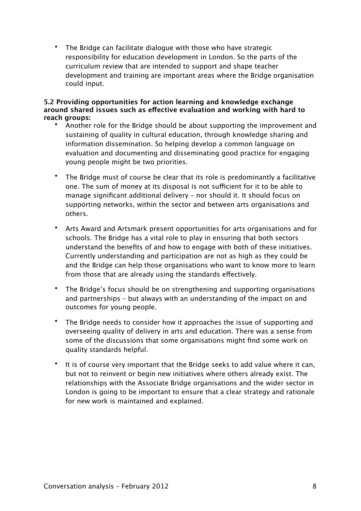• The Bridge can facilitate dialogue with those who have strategic responsibility for education development in London. So the parts of the curriculum review that are intended to support and shape teacher development and training are important areas where the Bridge organisation could input.

#### **5.2 Providing opportunities for action learning and knowledge exchange around shared issues such as efective evaluation and working with hard to reach groups:**

- Another role for the Bridge should be about supporting the improvement and sustaining of quality in cultural education, through knowledge sharing and information dissemination. So helping develop a common language on evaluation and documenting and disseminating good practice for engaging young people might be two priorities.
- The Bridge must of course be clear that its role is predominantly a facilitative one. The sum of money at its disposal is not sufficient for it to be able to manage significant additional delivery – nor should it. It should focus on supporting networks, within the sector and between arts organisations and others.
- Arts Award and Artsmark present opportunities for arts organisations and for schools. The Bridge has a vital role to play in ensuring that both sectors understand the benefits of and how to engage with both of these initiatives. Currently understanding and participation are not as high as they could be and the Bridge can help those organisations who want to know more to learn from those that are already using the standards efectively.
- The Bridge's focus should be on strengthening and supporting organisations and partnerships – but always with an understanding of the impact on and outcomes for young people.
- The Bridge needs to consider how it approaches the issue of supporting and overseeing quality of delivery in arts and education. There was a sense from some of the discussions that some organisations might find some work on quality standards helpful.
- It is of course very important that the Bridge seeks to add value where it can, but not to reinvent or begin new initiatives where others already exist. The relationships with the Associate Bridge organisations and the wider sector in London is going to be important to ensure that a clear strategy and rationale for new work is maintained and explained.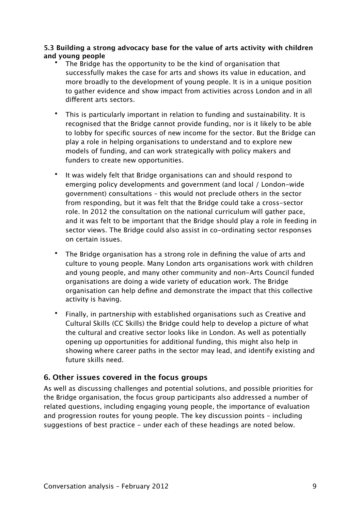#### **5.3 Building a strong advocacy base for the value of arts activity with children and young people**

- The Bridge has the opportunity to be the kind of organisation that successfully makes the case for arts and shows its value in education, and more broadly to the development of young people. It is in a unique position to gather evidence and show impact from activities across London and in all diferent arts sectors.
- This is particularly important in relation to funding and sustainability. It is recognised that the Bridge cannot provide funding, nor is it likely to be able to lobby for specific sources of new income for the sector. But the Bridge can play a role in helping organisations to understand and to explore new models of funding, and can work strategically with policy makers and funders to create new opportunities.
- It was widely felt that Bridge organisations can and should respond to emerging policy developments and government (and local / London-wide government) consultations – this would not preclude others in the sector from responding, but it was felt that the Bridge could take a cross-sector role. In 2012 the consultation on the national curriculum will gather pace, and it was felt to be important that the Bridge should play a role in feeding in sector views. The Bridge could also assist in co-ordinating sector responses on certain issues.
- The Bridge organisation has a strong role in defining the value of arts and culture to young people. Many London arts organisations work with children and young people, and many other community and non-Arts Council funded organisations are doing a wide variety of education work. The Bridge organisation can help define and demonstrate the impact that this collective activity is having.
- Finally, in partnership with established organisations such as Creative and Cultural Skills (CC Skills) the Bridge could help to develop a picture of what the cultural and creative sector looks like in London. As well as potentially opening up opportunities for additional funding, this might also help in showing where career paths in the sector may lead, and identify existing and future skills need.

#### <span id="page-8-0"></span>**6. Other issues covered in the focus groups**

As well as discussing challenges and potential solutions, and possible priorities for the Bridge organisation, the focus group participants also addressed a number of related questions, including engaging young people, the importance of evaluation and progression routes for young people. The key discussion points – including suggestions of best practice - under each of these headings are noted below.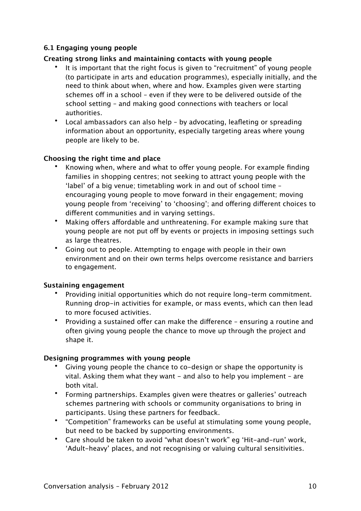#### <span id="page-9-0"></span>**6.1 Engaging young people**

#### **Creating strong links and maintaining contacts with young people**

- It is important that the right focus is given to "recruitment" of young people (to participate in arts and education programmes), especially initially, and the need to think about when, where and how. Examples given were starting schemes off in a school - even if they were to be delivered outside of the school setting – and making good connections with teachers or local authorities.
- Local ambassadors can also help by advocating, leafleting or spreading information about an opportunity, especially targeting areas where young people are likely to be.

#### **Choosing the right time and place**

- Knowing when, where and what to offer young people. For example finding families in shopping centres; not seeking to attract young people with the 'label' of a big venue; timetabling work in and out of school time – encouraging young people to move forward in their engagement; moving young people from 'receiving' to 'choosing'; and ofering diferent choices to diferent communities and in varying settings.
- Making offers affordable and unthreatening. For example making sure that voung people are not put off by events or projects in imposing settings such as large theatres.
- Going out to people. Attempting to engage with people in their own environment and on their own terms helps overcome resistance and barriers to engagement.

#### **Sustaining engagement**

- Providing initial opportunities which do not require long-term commitment. Running drop-in activities for example, or mass events, which can then lead to more focused activities.
- Providing a sustained offer can make the difference ensuring a routine and often giving young people the chance to move up through the project and shape it.

#### **Designing programmes with young people**

- Giving young people the chance to co-design or shape the opportunity is vital. Asking them what they want  $-$  and also to help you implement  $-$  are both vital.
- Forming partnerships. Examples given were theatres or galleries' outreach schemes partnering with schools or community organisations to bring in participants. Using these partners for feedback.
- "Competition" frameworks can be useful at stimulating some young people, but need to be backed by supporting environments.
- Care should be taken to avoid "what doesn't work" eg 'Hit-and-run' work, 'Adult-heavy' places, and not recognising or valuing cultural sensitivities.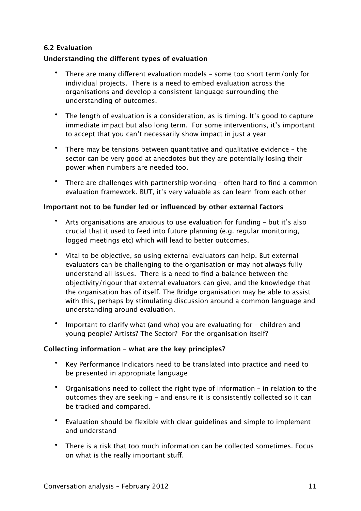#### <span id="page-10-0"></span>**6.2 Evaluation**

#### **Understanding the diferent types of evaluation**

- There are many diferent evaluation models some too short term/only for individual projects. There is a need to embed evaluation across the organisations and develop a consistent language surrounding the understanding of outcomes.
- The length of evaluation is a consideration, as is timing. It's good to capture immediate impact but also long term. For some interventions, it's important to accept that you can't necessarily show impact in just a year
- There may be tensions between quantitative and qualitative evidence the sector can be very good at anecdotes but they are potentially losing their power when numbers are needed too.
- There are challenges with partnership working often hard to find a common evaluation framework. BUT, it's very valuable as can learn from each other

#### **Important not to be funder led or influenced by other external factors**

- Arts organisations are anxious to use evaluation for funding but it's also crucial that it used to feed into future planning (e.g. regular monitoring, logged meetings etc) which will lead to better outcomes.
- Vital to be objective, so using external evaluators can help. But external evaluators can be challenging to the organisation or may not always fully understand all issues. There is a need to find a balance between the objectivity/rigour that external evaluators can give, and the knowledge that the organisation has of itself. The Bridge organisation may be able to assist with this, perhaps by stimulating discussion around a common language and understanding around evaluation.
- Important to clarify what (and who) you are evaluating for children and young people? Artists? The Sector? For the organisation itself?

#### **Collecting information – what are the key principles?**

- Key Performance Indicators need to be translated into practice and need to be presented in appropriate language
- Organisations need to collect the right type of information in relation to the outcomes they are seeking - and ensure it is consistently collected so it can be tracked and compared.
- Evaluation should be flexible with clear guidelines and simple to implement and understand
- There is a risk that too much information can be collected sometimes. Focus on what is the really important stuf.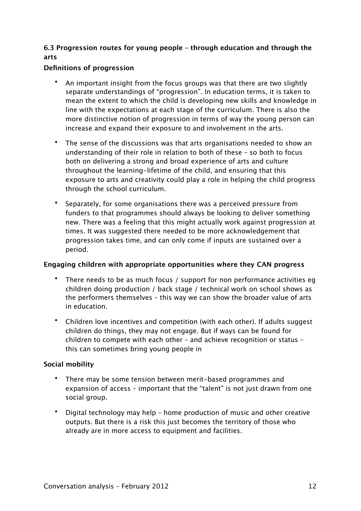# <span id="page-11-0"></span>**6.3 Progression routes for young people – through education and through the arts**

#### **Definitions of progression**

- An important insight from the focus groups was that there are two slightly separate understandings of "progression". In education terms, it is taken to mean the extent to which the child is developing new skills and knowledge in line with the expectations at each stage of the curriculum. There is also the more distinctive notion of progression in terms of way the young person can increase and expand their exposure to and involvement in the arts.
- The sense of the discussions was that arts organisations needed to show an understanding of their role in relation to both of these – so both to focus both on delivering a strong and broad experience of arts and culture throughout the learning-lifetime of the child, and ensuring that this exposure to arts and creativity could play a role in helping the child progress through the school curriculum.
- Separately, for some organisations there was a perceived pressure from funders to that programmes should always be looking to deliver something new. There was a feeling that this might actually work against progression at times. It was suggested there needed to be more acknowledgement that progression takes time, and can only come if inputs are sustained over a period.

#### **Engaging children with appropriate opportunities where they CAN progress**

- There needs to be as much focus / support for non performance activities eg children doing production / back stage / technical work on school shows as the performers themselves – this way we can show the broader value of arts in education.
- Children love incentives and competition (with each other). If adults suggest children do things, they may not engage. But if ways can be found for children to compete with each other – and achieve recognition or status – this can sometimes bring young people in

#### **Social mobility**

- There may be some tension between merit-based programmes and expansion of access – important that the "talent" is not just drawn from one social group.
- Digital technology may help home production of music and other creative outputs. But there is a risk this just becomes the territory of those who already are in more access to equipment and facilities.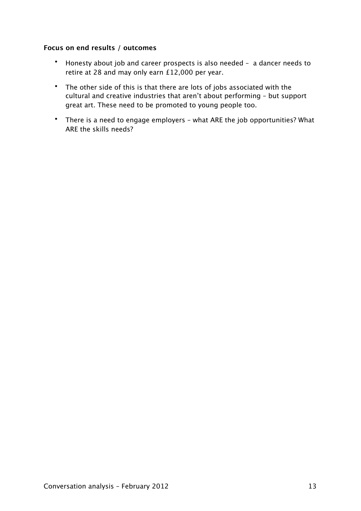#### **Focus on end results / outcomes**

- Honesty about job and career prospects is also needed a dancer needs to retire at 28 and may only earn £12,000 per year.
- The other side of this is that there are lots of jobs associated with the cultural and creative industries that aren't about performing – but support great art. These need to be promoted to young people too.
- There is a need to engage employers what ARE the job opportunities? What ARE the skills needs?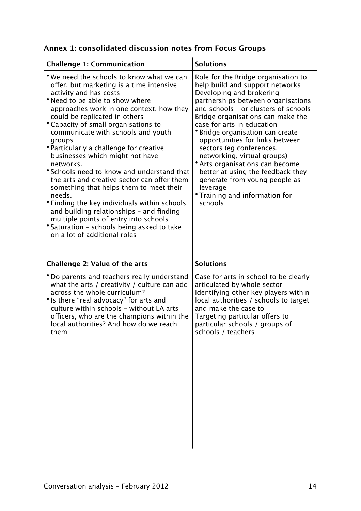<span id="page-13-0"></span>

| Annex 1: consolidated discussion notes from Focus Groups |  |  |  |  |
|----------------------------------------------------------|--|--|--|--|
|----------------------------------------------------------|--|--|--|--|

| <b>Challenge 1: Communication</b>                                                                                                                                                                                                                                                                                                                                                                                                                                                                                                                                                                                                                                                                                                                                                     | <b>Solutions</b>                                                                                                                                                                                                                                                                                                                                                                                                                                                                                                                                               |
|---------------------------------------------------------------------------------------------------------------------------------------------------------------------------------------------------------------------------------------------------------------------------------------------------------------------------------------------------------------------------------------------------------------------------------------------------------------------------------------------------------------------------------------------------------------------------------------------------------------------------------------------------------------------------------------------------------------------------------------------------------------------------------------|----------------------------------------------------------------------------------------------------------------------------------------------------------------------------------------------------------------------------------------------------------------------------------------------------------------------------------------------------------------------------------------------------------------------------------------------------------------------------------------------------------------------------------------------------------------|
| *We need the schools to know what we can<br>offer, but marketing is a time intensive<br>activity and has costs<br>* Need to be able to show where<br>approaches work in one context, how they<br>could be replicated in others<br>* Capacity of small organisations to<br>communicate with schools and youth<br>groups<br>* Particularly a challenge for creative<br>businesses which might not have<br>networks.<br>*Schools need to know and understand that<br>the arts and creative sector can offer them<br>something that helps them to meet their<br>needs.<br>• Finding the key individuals within schools<br>and building relationships - and finding<br>multiple points of entry into schools<br>* Saturation - schools being asked to take<br>on a lot of additional roles | Role for the Bridge organisation to<br>help build and support networks<br>Developing and brokering<br>partnerships between organisations<br>and schools - or clusters of schools<br>Bridge organisations can make the<br>case for arts in education<br>* Bridge organisation can create<br>opportunities for links between<br>sectors (eg conferences,<br>networking, virtual groups)<br>* Arts organisations can become<br>better at using the feedback they<br>generate from young people as<br>leverage<br><i>*</i> Training and information for<br>schools |
| <b>Challenge 2: Value of the arts</b>                                                                                                                                                                                                                                                                                                                                                                                                                                                                                                                                                                                                                                                                                                                                                 | <b>Solutions</b>                                                                                                                                                                                                                                                                                                                                                                                                                                                                                                                                               |
| * Do parents and teachers really understand<br>what the arts / creativity / culture can add<br>across the whole curriculum?<br>* Is there "real advocacy" for arts and<br>culture within schools - without LA arts                                                                                                                                                                                                                                                                                                                                                                                                                                                                                                                                                                    | Case for arts in school to be clearly<br>articulated by whole sector<br>Identifying other key players within<br>local authorities / schools to target                                                                                                                                                                                                                                                                                                                                                                                                          |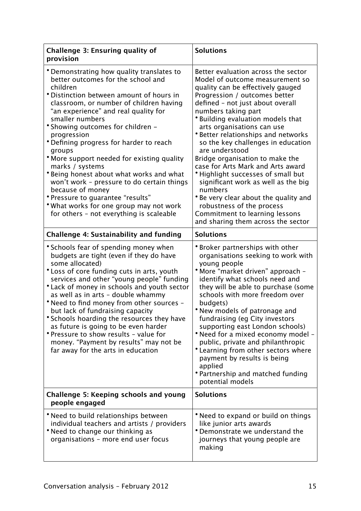| Challenge 3: Ensuring quality of<br>provision                                                                                                                                                                                                                                                                                                                                                                                                                                                                                                                                                                                                                     | <b>Solutions</b>                                                                                                                                                                                                                                                                                                                                                                                                                                                                                                                                                                                                                                                                      |
|-------------------------------------------------------------------------------------------------------------------------------------------------------------------------------------------------------------------------------------------------------------------------------------------------------------------------------------------------------------------------------------------------------------------------------------------------------------------------------------------------------------------------------------------------------------------------------------------------------------------------------------------------------------------|---------------------------------------------------------------------------------------------------------------------------------------------------------------------------------------------------------------------------------------------------------------------------------------------------------------------------------------------------------------------------------------------------------------------------------------------------------------------------------------------------------------------------------------------------------------------------------------------------------------------------------------------------------------------------------------|
| • Demonstrating how quality translates to<br>better outcomes for the school and<br>children<br>* Distinction between amount of hours in<br>classroom, or number of children having<br>"an experience" and real quality for<br>smaller numbers<br>• Showing outcomes for children -<br>progression<br>* Defining progress for harder to reach<br>groups<br>* More support needed for existing quality<br>marks / systems<br>* Being honest about what works and what<br>won't work - pressure to do certain things<br>because of money<br>* Pressure to guarantee "results"<br>• What works for one group may not work<br>for others - not everything is scaleable | Better evaluation across the sector<br>Model of outcome measurement so<br>quality can be effectively gauged<br>Progression / outcomes better<br>defined - not just about overall<br>numbers taking part<br>*Building evaluation models that<br>arts organisations can use<br>*Better relationships and networks<br>so the key challenges in education<br>are understood<br>Bridge organisation to make the<br>case for Arts Mark and Arts award<br>* Highlight successes of small but<br>significant work as well as the big<br>numbers<br>* Be very clear about the quality and<br>robustness of the process<br>Commitment to learning lessons<br>and sharing them across the sector |
| <b>Challenge 4: Sustainability and funding</b>                                                                                                                                                                                                                                                                                                                                                                                                                                                                                                                                                                                                                    | <b>Solutions</b>                                                                                                                                                                                                                                                                                                                                                                                                                                                                                                                                                                                                                                                                      |
| * Schools fear of spending money when<br>budgets are tight (even if they do have<br>some allocated)<br>* Loss of core funding cuts in arts, youth<br>services and other "young people" funding<br>* Lack of money in schools and youth sector<br>as well as in arts - double whammy<br>• Need to find money from other sources -<br>but lack of fundraising capacity<br>* Schools hoarding the resources they have<br>as future is going to be even harder<br>* Pressure to show results - value for<br>money. "Payment by results" may not be<br>far away for the arts in education                                                                              | <b>*</b> Broker partnerships with other<br>organisations seeking to work with<br>young people<br>• More "market driven" approach -<br>identify what schools need and<br>they will be able to purchase (some<br>schools with more freedom over<br>budgets)<br>• New models of patronage and<br>fundraising (eg City investors<br>supporting east London schools)<br>• Need for a mixed economy model -<br>public, private and philanthropic<br>*Learning from other sectors where<br>payment by results is being<br>applied<br>• Partnership and matched funding<br>potential models                                                                                                   |
| Challenge 5: Keeping schools and young<br>people engaged                                                                                                                                                                                                                                                                                                                                                                                                                                                                                                                                                                                                          | <b>Solutions</b>                                                                                                                                                                                                                                                                                                                                                                                                                                                                                                                                                                                                                                                                      |
| • Need to build relationships between<br>individual teachers and artists / providers<br>• Need to change our thinking as<br>organisations - more end user focus                                                                                                                                                                                                                                                                                                                                                                                                                                                                                                   | • Need to expand or build on things<br>like junior arts awards<br>*Demonstrate we understand the<br>journeys that young people are<br>making                                                                                                                                                                                                                                                                                                                                                                                                                                                                                                                                          |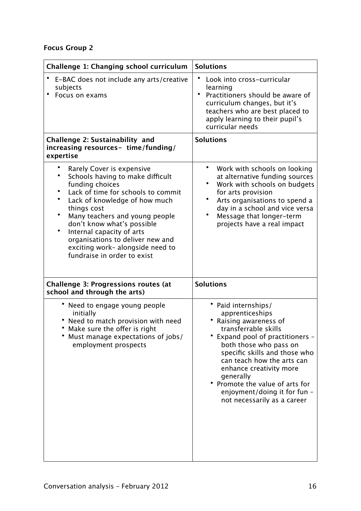# **Focus Group 2**

| Challenge 1: Changing school curriculum                                                                                                                                                                                                                                                                                                                                                              | <b>Solutions</b>                                                                                                                                                                                                                                                                                                                                          |
|------------------------------------------------------------------------------------------------------------------------------------------------------------------------------------------------------------------------------------------------------------------------------------------------------------------------------------------------------------------------------------------------------|-----------------------------------------------------------------------------------------------------------------------------------------------------------------------------------------------------------------------------------------------------------------------------------------------------------------------------------------------------------|
| E-BAC does not include any arts/creative<br>subjects<br>$\bullet$<br>Focus on exams                                                                                                                                                                                                                                                                                                                  | Look into cross-curricular<br>learning<br>$\bullet$<br>Practitioners should be aware of<br>curriculum changes, but it's<br>teachers who are best placed to<br>apply learning to their pupil's<br>curricular needs                                                                                                                                         |
| Challenge 2: Sustainability and<br>increasing resources- time/funding/<br>expertise                                                                                                                                                                                                                                                                                                                  | <b>Solutions</b>                                                                                                                                                                                                                                                                                                                                          |
| Rarely Cover is expensive<br>Schools having to make difficult<br>funding choices<br>Lack of time for schools to commit<br>$\bullet$<br>Lack of knowledge of how much<br>things cost<br>Many teachers and young people<br>don't know what's possible<br>$\bullet$<br>Internal capacity of arts<br>organisations to deliver new and<br>exciting work- alongside need to<br>fundraise in order to exist | Work with schools on looking<br>at alternative funding sources<br>$\bullet$<br>Work with schools on budgets<br>for arts provision<br>Arts organisations to spend a<br>٠<br>day in a school and vice versa<br>$\bullet$<br>Message that longer-term<br>projects have a real impact                                                                         |
| <b>Challenge 3: Progressions routes (at</b><br>school and through the arts)                                                                                                                                                                                                                                                                                                                          | <b>Solutions</b>                                                                                                                                                                                                                                                                                                                                          |
| • Need to engage young people<br>initially<br>• Need to match provision with need<br>• Make sure the offer is right<br>Must manage expectations of jobs/<br>employment prospects                                                                                                                                                                                                                     | • Paid internships/<br>apprenticeships<br>Raising awareness of<br>transferrable skills<br>Expand pool of practitioners -<br>both those who pass on<br>specific skills and those who<br>can teach how the arts can<br>enhance creativity more<br>generally<br>Promote the value of arts for<br>enjoyment/doing it for fun -<br>not necessarily as a career |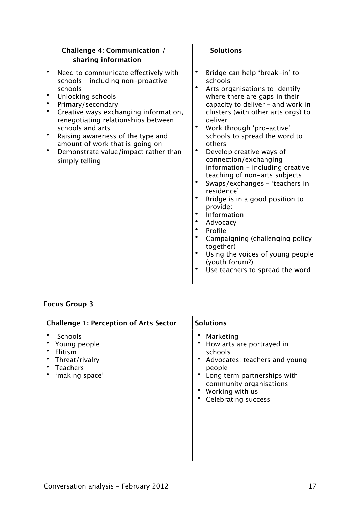| <b>Challenge 4: Communication /</b><br>sharing information                                                                                                                                                                                                                                                                                                                                     | <b>Solutions</b>                                                                                                                                                                                                                                                                                                                                                                                                                                                                                                                                                                                                                                                                                                              |
|------------------------------------------------------------------------------------------------------------------------------------------------------------------------------------------------------------------------------------------------------------------------------------------------------------------------------------------------------------------------------------------------|-------------------------------------------------------------------------------------------------------------------------------------------------------------------------------------------------------------------------------------------------------------------------------------------------------------------------------------------------------------------------------------------------------------------------------------------------------------------------------------------------------------------------------------------------------------------------------------------------------------------------------------------------------------------------------------------------------------------------------|
| Need to communicate effectively with<br>schools - including non-proactive<br>schools<br>Unlocking schools<br>Primary/secondary<br>Creative ways exchanging information,<br>renegotiating relationships between<br>schools and arts<br>$\bullet$<br>Raising awareness of the type and<br>amount of work that is going on<br>$\bullet$<br>Demonstrate value/impact rather than<br>simply telling | Bridge can help 'break-in' to<br>٠<br>schools<br>$\bullet$<br>Arts organisations to identify<br>where there are gaps in their<br>capacity to deliver - and work in<br>clusters (with other arts orgs) to<br>deliver<br>Work through 'pro-active'<br>schools to spread the word to<br>others<br>$\bullet$<br>Develop creative ways of<br>connection/exchanging<br>information - including creative<br>teaching of non-arts subjects<br>Swaps/exchanges - 'teachers in<br>residence'<br>Bridge is in a good position to<br>provide:<br>Information<br>Advocacy<br>$\bullet$<br>Profile<br>Campaigning (challenging policy<br>together)<br>Using the voices of young people<br>(youth forum?)<br>Use teachers to spread the word |

# **Focus Group 3**

| <b>Challenge 1: Perception of Arts Sector</b>                                      | <b>Solutions</b>                                                                                                                                                                                        |
|------------------------------------------------------------------------------------|---------------------------------------------------------------------------------------------------------------------------------------------------------------------------------------------------------|
| Schools<br>Young people<br>Elitism<br>Threat/rivalry<br>Teachers<br>'making space' | Marketing<br>How arts are portrayed in<br>schools<br>Advocates: teachers and young<br>people<br>Long term partnerships with<br>community organisations<br>Working with us<br><b>Celebrating success</b> |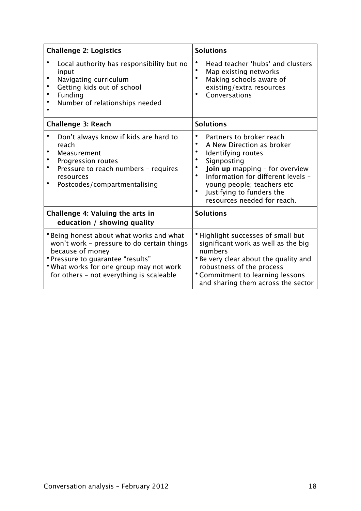| <b>Challenge 2: Logistics</b>                                                                                                                                                                                                          | <b>Solutions</b>                                                                                                                                                                                                                                                                 |
|----------------------------------------------------------------------------------------------------------------------------------------------------------------------------------------------------------------------------------------|----------------------------------------------------------------------------------------------------------------------------------------------------------------------------------------------------------------------------------------------------------------------------------|
| Local authority has responsibility but no<br>input<br>Navigating curriculum<br>Getting kids out of school<br>Funding<br>Number of relationships needed                                                                                 | Head teacher 'hubs' and clusters<br>$\bullet$<br>Map existing networks<br>$\bullet$<br>Making schools aware of<br>existing/extra resources<br>Conversations                                                                                                                      |
| <b>Challenge 3: Reach</b>                                                                                                                                                                                                              | <b>Solutions</b>                                                                                                                                                                                                                                                                 |
| Don't always know if kids are hard to<br>reach<br>Measurement<br>Progression routes<br>$\bullet$<br>Pressure to reach numbers - requires<br>resources<br>$\bullet$<br>Postcodes/compartmentalising                                     | Partners to broker reach<br>A New Direction as broker<br>Identifying routes<br>Signposting<br><b>Join up</b> mapping - for overview<br>Information for different levels -<br>$\bullet$<br>young people; teachers etc<br>Justifying to funders the<br>resources needed for reach. |
| Challenge 4: Valuing the arts in<br>education / showing quality                                                                                                                                                                        | <b>Solutions</b>                                                                                                                                                                                                                                                                 |
| * Being honest about what works and what<br>won't work - pressure to do certain things<br>because of money<br>* Pressure to guarantee "results"<br>* What works for one group may not work<br>for others - not everything is scaleable | Highlight successes of small but<br>significant work as well as the big<br>numbers<br>Be very clear about the quality and<br>robustness of the process<br>*Commitment to learning lessons<br>and sharing them across the sector                                                  |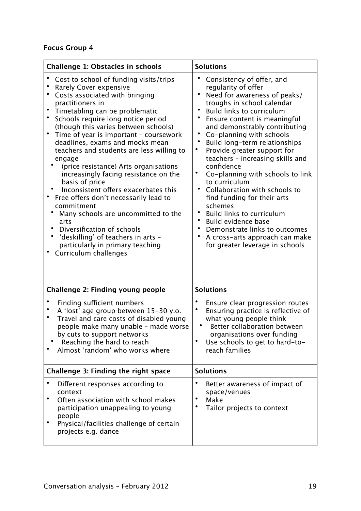# **Focus Group 4**

| <b>Challenge 1: Obstacles in schools</b>                                                                                                                                                                                                                                                                                                                                                                                                                                                                                                                                                                                                                                                                                                                                   | <b>Solutions</b>                                                                                                                                                                                                                                                                                                                                                                                                                                                                                                                                                                                                                                                                             |
|----------------------------------------------------------------------------------------------------------------------------------------------------------------------------------------------------------------------------------------------------------------------------------------------------------------------------------------------------------------------------------------------------------------------------------------------------------------------------------------------------------------------------------------------------------------------------------------------------------------------------------------------------------------------------------------------------------------------------------------------------------------------------|----------------------------------------------------------------------------------------------------------------------------------------------------------------------------------------------------------------------------------------------------------------------------------------------------------------------------------------------------------------------------------------------------------------------------------------------------------------------------------------------------------------------------------------------------------------------------------------------------------------------------------------------------------------------------------------------|
| Cost to school of funding visits/trips<br>Rarely Cover expensive<br>Costs associated with bringing<br>practitioners in<br>Timetabling can be problematic<br>Schools require long notice period<br>(though this varies between schools)<br>$\bullet$<br>Time of year is important - coursework<br>deadlines, exams and mocks mean<br>teachers and students are less willing to<br>engage<br>(price resistance) Arts organisations<br>increasingly facing resistance on the<br>basis of price<br>Inconsistent offers exacerbates this<br>Free offers don't necessarily lead to<br>commitment<br>Many schools are uncommitted to the<br>arts<br>Diversification of schools<br>'deskilling' of teachers in arts -<br>particularly in primary teaching<br>Curriculum challenges | Consistency of offer, and<br>regularity of offer<br>Need for awareness of peaks/<br>troughs in school calendar<br><b>Build links to curriculum</b><br>Ensure content is meaningful<br>and demonstrably contributing<br>$\bullet$<br>Co-planning with schools<br>Build long-term relationships<br>Provide greater support for<br>teachers - increasing skills and<br>confidence<br>$\bullet$<br>Co-planning with schools to link<br>to curriculum<br>Collaboration with schools to<br>find funding for their arts<br>schemes<br><b>Build links to curriculum</b><br>Build evidence base<br>Demonstrate links to outcomes<br>A cross-arts approach can make<br>for greater leverage in schools |
| Challenge 2: Finding young people                                                                                                                                                                                                                                                                                                                                                                                                                                                                                                                                                                                                                                                                                                                                          | <b>Solutions</b>                                                                                                                                                                                                                                                                                                                                                                                                                                                                                                                                                                                                                                                                             |
| Finding sufficient numbers<br>A 'lost' age group between 15-30 y.o.<br>Travel and care costs of disabled young<br>people make many unable - made worse<br>by cuts to support networks<br>Reaching the hard to reach<br>Almost 'random' who works where                                                                                                                                                                                                                                                                                                                                                                                                                                                                                                                     | $\bullet$<br>Ensure clear progression routes<br>Ensuring practice is reflective of<br>what young people think<br>Better collaboration between<br>organisations over funding<br>$\bullet$<br>Use schools to get to hard-to-<br>reach families                                                                                                                                                                                                                                                                                                                                                                                                                                                 |
| Challenge 3: Finding the right space                                                                                                                                                                                                                                                                                                                                                                                                                                                                                                                                                                                                                                                                                                                                       | <b>Solutions</b>                                                                                                                                                                                                                                                                                                                                                                                                                                                                                                                                                                                                                                                                             |
| Different responses according to<br>context<br>$\bullet$<br>Often association with school makes<br>participation unappealing to young<br>people<br>٠<br>Physical/facilities challenge of certain<br>projects e.g. dance                                                                                                                                                                                                                                                                                                                                                                                                                                                                                                                                                    | $\bullet$<br>Better awareness of impact of<br>space/venues<br>$\bullet$<br>Make<br>$\bullet$<br>Tailor projects to context                                                                                                                                                                                                                                                                                                                                                                                                                                                                                                                                                                   |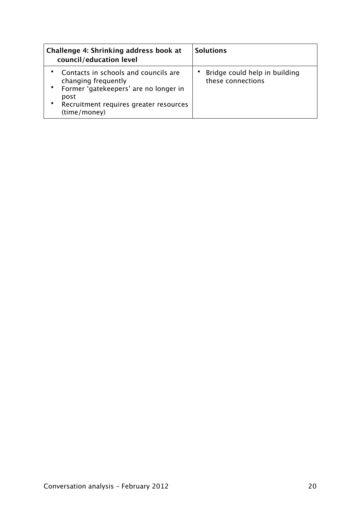| Challenge 4: Shrinking address book at<br>council/education level                                                                                                      | <b>Solutions</b>                                   |
|------------------------------------------------------------------------------------------------------------------------------------------------------------------------|----------------------------------------------------|
| Contacts in schools and councils are<br>changing frequently<br>Former 'gatekeepers' are no longer in<br>post<br>Recruitment requires greater resources<br>(time/money) | Bridge could help in building<br>these connections |